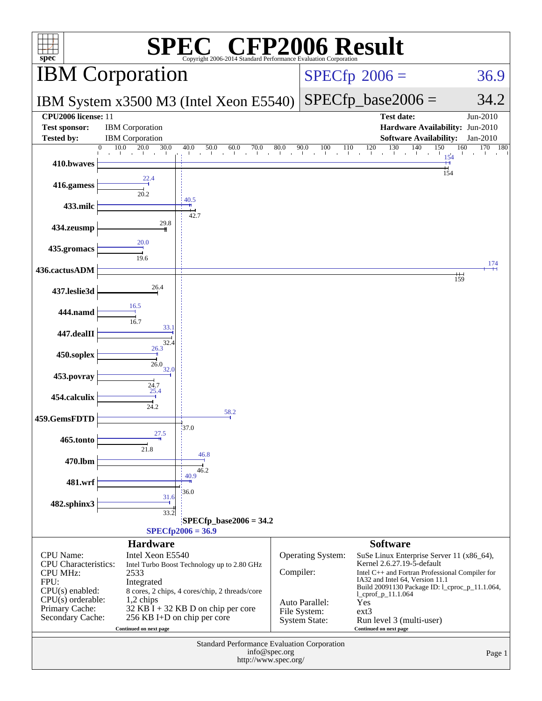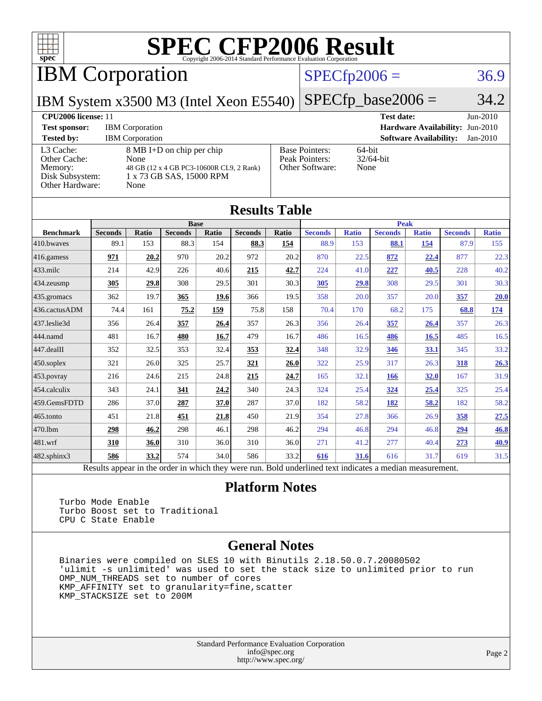

IBM Corporation

#### $SPECTp2006 = 36.9$

IBM System x3500 M3 (Intel Xeon E5540)

 $SPECTp\_base2006 = 34.2$ 

#### **[CPU2006 license:](http://www.spec.org/auto/cpu2006/Docs/result-fields.html#CPU2006license)** 11 **[Test date:](http://www.spec.org/auto/cpu2006/Docs/result-fields.html#Testdate)** Jun-2010 **[Test sponsor:](http://www.spec.org/auto/cpu2006/Docs/result-fields.html#Testsponsor)** IBM Corporation **[Hardware Availability:](http://www.spec.org/auto/cpu2006/Docs/result-fields.html#HardwareAvailability)** Jun-2010 **[Tested by:](http://www.spec.org/auto/cpu2006/Docs/result-fields.html#Testedby)** IBM Corporation **[Software Availability:](http://www.spec.org/auto/cpu2006/Docs/result-fields.html#SoftwareAvailability)** Jan-2010 [L3 Cache:](http://www.spec.org/auto/cpu2006/Docs/result-fields.html#L3Cache) 8 MB I+D on chip per chip [Other Cache:](http://www.spec.org/auto/cpu2006/Docs/result-fields.html#OtherCache) [Memory:](http://www.spec.org/auto/cpu2006/Docs/result-fields.html#Memory) 48 GB (12 x 4 GB PC3-10600R CL9, 2 Rank) [Disk Subsystem:](http://www.spec.org/auto/cpu2006/Docs/result-fields.html#DiskSubsystem) 1 x 73 GB SAS, 15000 RPM [Other Hardware:](http://www.spec.org/auto/cpu2006/Docs/result-fields.html#OtherHardware) None [Base Pointers:](http://www.spec.org/auto/cpu2006/Docs/result-fields.html#BasePointers) 64-bit<br>Peak Pointers: 32/64-bit [Peak Pointers:](http://www.spec.org/auto/cpu2006/Docs/result-fields.html#PeakPointers) [Other Software:](http://www.spec.org/auto/cpu2006/Docs/result-fields.html#OtherSoftware) None

| <b>Results Table</b> |                                                                                                          |              |                |       |                |       |                |              |                |              |                |              |
|----------------------|----------------------------------------------------------------------------------------------------------|--------------|----------------|-------|----------------|-------|----------------|--------------|----------------|--------------|----------------|--------------|
|                      | <b>Base</b>                                                                                              |              |                |       |                |       | <b>Peak</b>    |              |                |              |                |              |
| <b>Benchmark</b>     | <b>Seconds</b>                                                                                           | <b>Ratio</b> | <b>Seconds</b> | Ratio | <b>Seconds</b> | Ratio | <b>Seconds</b> | <b>Ratio</b> | <b>Seconds</b> | <b>Ratio</b> | <b>Seconds</b> | <b>Ratio</b> |
| 410.bwaves           | 89.1                                                                                                     | 153          | 88.3           | 154   | 88.3           | 154   | 88.9           | 153          | 88.1           | 154          | 87.9           | 155          |
| 416.gamess           | 971                                                                                                      | 20.2         | 970            | 20.2  | 972            | 20.2  | 870            | 22.5         | 872            | 22.4         | 877            | 22.3         |
| $433$ .milc          | 214                                                                                                      | 42.9         | 226            | 40.6  | 215            | 42.7  | 224            | 41.0         | 227            | 40.5         | 228            | 40.2         |
| $434$ . zeusmp       | 305                                                                                                      | 29.8         | 308            | 29.5  | 301            | 30.3  | 305            | 29.8         | 308            | 29.5         | 301            | 30.3         |
| $435.$ gromacs       | 362                                                                                                      | 19.7         | 365            | 19.6  | 366            | 19.5  | 358            | 20.0         | 357            | 20.0         | 357            | 20.0         |
| 436.cactusADM        | 74.4                                                                                                     | 161          | 75.2           | 159   | 75.8           | 158   | 70.4           | 170          | 68.2           | 175          | 68.8           | <u>174</u>   |
| 437.leslie3d         | 356                                                                                                      | 26.4         | 357            | 26.4  | 357            | 26.3  | 356            | 26.4         | 357            | 26.4         | 357            | 26.3         |
| 444.namd             | 481                                                                                                      | 16.7         | 480            | 16.7  | 479            | 16.7  | 486            | 16.5         | 486            | 16.5         | 485            | 16.5         |
| $447$ .dealII        | 352                                                                                                      | 32.5         | 353            | 32.4  | 353            | 32.4  | 348            | 32.9         | 346            | <u>33.1</u>  | 345            | 33.2         |
| $450$ .soplex        | 321                                                                                                      | 26.0         | 325            | 25.7  | 321            | 26.0  | 322            | 25.9         | 317            | 26.3         | 318            | 26.3         |
| $453$ .povray        | 216                                                                                                      | 24.6         | 215            | 24.8  | 215            | 24.7  | 165            | 32.1         | 166            | 32.0         | 167            | 31.9         |
| $ 454$ .calculix     | 343                                                                                                      | 24.1         | 341            | 24.2  | 340            | 24.3  | 324            | 25.4         | 324            | 25.4         | 325            | 25.4         |
| 459.GemsFDTD         | 286                                                                                                      | 37.0         | 287            | 37.0  | 287            | 37.0  | 182            | 58.2         | 182            | 58.2         | 182            | 58.2         |
| $465$ .tonto         | 451                                                                                                      | 21.8         | 451            | 21.8  | 450            | 21.9  | 354            | 27.8         | 366            | 26.9         | 358            | <u>27.5</u>  |
| 470.1bm              | 298                                                                                                      | 46.2         | 298            | 46.1  | 298            | 46.2  | 294            | 46.8         | 294            | 46.8         | 294            | 46.8         |
| $ 481$ .wrf          | 310                                                                                                      | 36.0         | 310            | 36.0  | 310            | 36.0  | 271            | 41.2         | 277            | 40.4         | 273            | <u>40.9</u>  |
| 482.sphinx3          | 586                                                                                                      | 33.2         | 574            | 34.0  | 586            | 33.2  | 616            | 31.6         | 616            | 31.7         | 619            | 31.5         |
|                      | Results appear in the order in which they were run. Bold underlined text indicates a median measurement. |              |                |       |                |       |                |              |                |              |                |              |

#### **[Platform Notes](http://www.spec.org/auto/cpu2006/Docs/result-fields.html#PlatformNotes)**

 Turbo Mode Enable Turbo Boost set to Traditional CPU C State Enable

#### **[General Notes](http://www.spec.org/auto/cpu2006/Docs/result-fields.html#GeneralNotes)**

 Binaries were compiled on SLES 10 with Binutils 2.18.50.0.7.20080502 'ulimit -s unlimited' was used to set the stack size to unlimited prior to run OMP\_NUM\_THREADS set to number of cores KMP\_AFFINITY set to granularity=fine,scatter KMP\_STACKSIZE set to 200M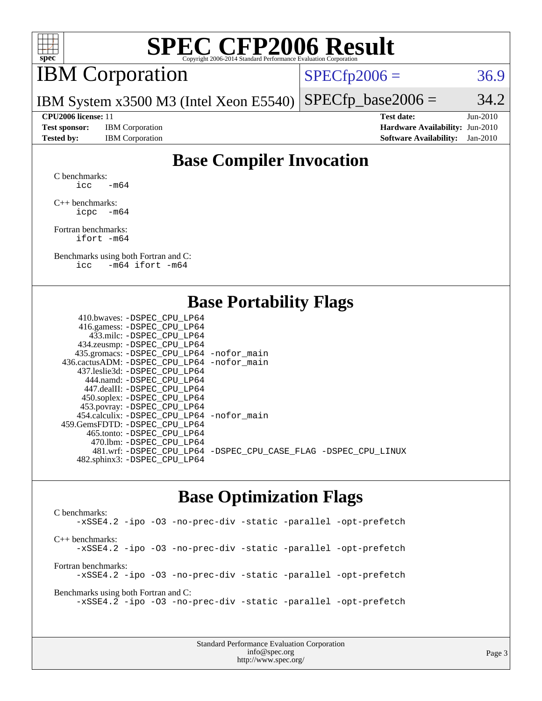

## IBM Corporation

 $SPECTp2006 = 36.9$ 

IBM System x3500 M3 (Intel Xeon E5540)  $SPECTp\_base2006 = 34.2$ 

**[Test sponsor:](http://www.spec.org/auto/cpu2006/Docs/result-fields.html#Testsponsor)** IBM Corporation **[Hardware Availability:](http://www.spec.org/auto/cpu2006/Docs/result-fields.html#HardwareAvailability)** Jun-2010

**[CPU2006 license:](http://www.spec.org/auto/cpu2006/Docs/result-fields.html#CPU2006license)** 11 **[Test date:](http://www.spec.org/auto/cpu2006/Docs/result-fields.html#Testdate)** Jun-2010 **[Tested by:](http://www.spec.org/auto/cpu2006/Docs/result-fields.html#Testedby)** IBM Corporation **[Software Availability:](http://www.spec.org/auto/cpu2006/Docs/result-fields.html#SoftwareAvailability)** Jan-2010

### **[Base Compiler Invocation](http://www.spec.org/auto/cpu2006/Docs/result-fields.html#BaseCompilerInvocation)**

[C benchmarks](http://www.spec.org/auto/cpu2006/Docs/result-fields.html#Cbenchmarks): icc  $-m64$ 

[C++ benchmarks:](http://www.spec.org/auto/cpu2006/Docs/result-fields.html#CXXbenchmarks) [icpc -m64](http://www.spec.org/cpu2006/results/res2010q3/cpu2006-20100621-11823.flags.html#user_CXXbase_intel_icpc_64bit_bedb90c1146cab66620883ef4f41a67e)

[Fortran benchmarks](http://www.spec.org/auto/cpu2006/Docs/result-fields.html#Fortranbenchmarks): [ifort -m64](http://www.spec.org/cpu2006/results/res2010q3/cpu2006-20100621-11823.flags.html#user_FCbase_intel_ifort_64bit_ee9d0fb25645d0210d97eb0527dcc06e)

[Benchmarks using both Fortran and C](http://www.spec.org/auto/cpu2006/Docs/result-fields.html#BenchmarksusingbothFortranandC): [icc -m64](http://www.spec.org/cpu2006/results/res2010q3/cpu2006-20100621-11823.flags.html#user_CC_FCbase_intel_icc_64bit_0b7121f5ab7cfabee23d88897260401c) [ifort -m64](http://www.spec.org/cpu2006/results/res2010q3/cpu2006-20100621-11823.flags.html#user_CC_FCbase_intel_ifort_64bit_ee9d0fb25645d0210d97eb0527dcc06e)

#### **[Base Portability Flags](http://www.spec.org/auto/cpu2006/Docs/result-fields.html#BasePortabilityFlags)**

| 410.bwaves: -DSPEC CPU LP64                  |                                                                |
|----------------------------------------------|----------------------------------------------------------------|
| 416.gamess: - DSPEC_CPU_LP64                 |                                                                |
| 433.milc: -DSPEC CPU LP64                    |                                                                |
| 434.zeusmp: -DSPEC_CPU_LP64                  |                                                                |
| 435.gromacs: -DSPEC_CPU_LP64 -nofor_main     |                                                                |
| 436.cactusADM: - DSPEC CPU LP64 - nofor main |                                                                |
| 437.leslie3d: -DSPEC CPU LP64                |                                                                |
| 444.namd: - DSPEC CPU LP64                   |                                                                |
| 447.dealII: - DSPEC CPU LP64                 |                                                                |
| 450.soplex: -DSPEC_CPU_LP64                  |                                                                |
| 453.povray: -DSPEC_CPU_LP64                  |                                                                |
| 454.calculix: - DSPEC CPU LP64 - nofor main  |                                                                |
| 459. GemsFDTD: - DSPEC CPU LP64              |                                                                |
| 465.tonto: - DSPEC CPU LP64                  |                                                                |
| 470.1bm: - DSPEC CPU LP64                    |                                                                |
|                                              | 481.wrf: -DSPEC_CPU_LP64 -DSPEC_CPU_CASE_FLAG -DSPEC_CPU_LINUX |
| 482.sphinx3: -DSPEC_CPU_LP64                 |                                                                |
|                                              |                                                                |

#### **[Base Optimization Flags](http://www.spec.org/auto/cpu2006/Docs/result-fields.html#BaseOptimizationFlags)**

[C benchmarks](http://www.spec.org/auto/cpu2006/Docs/result-fields.html#Cbenchmarks): [-xSSE4.2](http://www.spec.org/cpu2006/results/res2010q3/cpu2006-20100621-11823.flags.html#user_CCbase_f-xSSE42_f91528193cf0b216347adb8b939d4107) [-ipo](http://www.spec.org/cpu2006/results/res2010q3/cpu2006-20100621-11823.flags.html#user_CCbase_f-ipo) [-O3](http://www.spec.org/cpu2006/results/res2010q3/cpu2006-20100621-11823.flags.html#user_CCbase_f-O3) [-no-prec-div](http://www.spec.org/cpu2006/results/res2010q3/cpu2006-20100621-11823.flags.html#user_CCbase_f-no-prec-div) [-static](http://www.spec.org/cpu2006/results/res2010q3/cpu2006-20100621-11823.flags.html#user_CCbase_f-static) [-parallel](http://www.spec.org/cpu2006/results/res2010q3/cpu2006-20100621-11823.flags.html#user_CCbase_f-parallel) [-opt-prefetch](http://www.spec.org/cpu2006/results/res2010q3/cpu2006-20100621-11823.flags.html#user_CCbase_f-opt-prefetch) [C++ benchmarks:](http://www.spec.org/auto/cpu2006/Docs/result-fields.html#CXXbenchmarks) [-xSSE4.2](http://www.spec.org/cpu2006/results/res2010q3/cpu2006-20100621-11823.flags.html#user_CXXbase_f-xSSE42_f91528193cf0b216347adb8b939d4107) [-ipo](http://www.spec.org/cpu2006/results/res2010q3/cpu2006-20100621-11823.flags.html#user_CXXbase_f-ipo) [-O3](http://www.spec.org/cpu2006/results/res2010q3/cpu2006-20100621-11823.flags.html#user_CXXbase_f-O3) [-no-prec-div](http://www.spec.org/cpu2006/results/res2010q3/cpu2006-20100621-11823.flags.html#user_CXXbase_f-no-prec-div) [-static](http://www.spec.org/cpu2006/results/res2010q3/cpu2006-20100621-11823.flags.html#user_CXXbase_f-static) [-parallel](http://www.spec.org/cpu2006/results/res2010q3/cpu2006-20100621-11823.flags.html#user_CXXbase_f-parallel) [-opt-prefetch](http://www.spec.org/cpu2006/results/res2010q3/cpu2006-20100621-11823.flags.html#user_CXXbase_f-opt-prefetch) [Fortran benchmarks](http://www.spec.org/auto/cpu2006/Docs/result-fields.html#Fortranbenchmarks): [-xSSE4.2](http://www.spec.org/cpu2006/results/res2010q3/cpu2006-20100621-11823.flags.html#user_FCbase_f-xSSE42_f91528193cf0b216347adb8b939d4107) [-ipo](http://www.spec.org/cpu2006/results/res2010q3/cpu2006-20100621-11823.flags.html#user_FCbase_f-ipo) [-O3](http://www.spec.org/cpu2006/results/res2010q3/cpu2006-20100621-11823.flags.html#user_FCbase_f-O3) [-no-prec-div](http://www.spec.org/cpu2006/results/res2010q3/cpu2006-20100621-11823.flags.html#user_FCbase_f-no-prec-div) [-static](http://www.spec.org/cpu2006/results/res2010q3/cpu2006-20100621-11823.flags.html#user_FCbase_f-static) [-parallel](http://www.spec.org/cpu2006/results/res2010q3/cpu2006-20100621-11823.flags.html#user_FCbase_f-parallel) [-opt-prefetch](http://www.spec.org/cpu2006/results/res2010q3/cpu2006-20100621-11823.flags.html#user_FCbase_f-opt-prefetch) [Benchmarks using both Fortran and C](http://www.spec.org/auto/cpu2006/Docs/result-fields.html#BenchmarksusingbothFortranandC): [-xSSE4.2](http://www.spec.org/cpu2006/results/res2010q3/cpu2006-20100621-11823.flags.html#user_CC_FCbase_f-xSSE42_f91528193cf0b216347adb8b939d4107) [-ipo](http://www.spec.org/cpu2006/results/res2010q3/cpu2006-20100621-11823.flags.html#user_CC_FCbase_f-ipo) [-O3](http://www.spec.org/cpu2006/results/res2010q3/cpu2006-20100621-11823.flags.html#user_CC_FCbase_f-O3) [-no-prec-div](http://www.spec.org/cpu2006/results/res2010q3/cpu2006-20100621-11823.flags.html#user_CC_FCbase_f-no-prec-div) [-static](http://www.spec.org/cpu2006/results/res2010q3/cpu2006-20100621-11823.flags.html#user_CC_FCbase_f-static) [-parallel](http://www.spec.org/cpu2006/results/res2010q3/cpu2006-20100621-11823.flags.html#user_CC_FCbase_f-parallel) [-opt-prefetch](http://www.spec.org/cpu2006/results/res2010q3/cpu2006-20100621-11823.flags.html#user_CC_FCbase_f-opt-prefetch)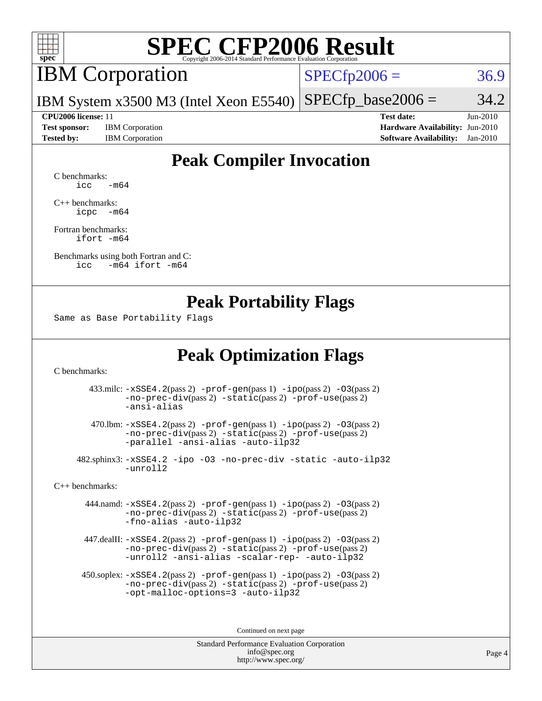

### IBM Corporation

 $SPECfp2006 = 36.9$  $SPECfp2006 = 36.9$ 

IBM System x3500 M3 (Intel Xeon E5540)  $SPECTp\_base2006 = 34.2$ 

**[Test sponsor:](http://www.spec.org/auto/cpu2006/Docs/result-fields.html#Testsponsor)** IBM Corporation **[Hardware Availability:](http://www.spec.org/auto/cpu2006/Docs/result-fields.html#HardwareAvailability)** Jun-2010

**[CPU2006 license:](http://www.spec.org/auto/cpu2006/Docs/result-fields.html#CPU2006license)** 11 **[Test date:](http://www.spec.org/auto/cpu2006/Docs/result-fields.html#Testdate)** Jun-2010 **[Tested by:](http://www.spec.org/auto/cpu2006/Docs/result-fields.html#Testedby)** IBM Corporation **[Software Availability:](http://www.spec.org/auto/cpu2006/Docs/result-fields.html#SoftwareAvailability)** Jan-2010

### **[Peak Compiler Invocation](http://www.spec.org/auto/cpu2006/Docs/result-fields.html#PeakCompilerInvocation)**

[C benchmarks](http://www.spec.org/auto/cpu2006/Docs/result-fields.html#Cbenchmarks):  $\text{icc}$   $-\text{m64}$ 

[C++ benchmarks:](http://www.spec.org/auto/cpu2006/Docs/result-fields.html#CXXbenchmarks) [icpc -m64](http://www.spec.org/cpu2006/results/res2010q3/cpu2006-20100621-11823.flags.html#user_CXXpeak_intel_icpc_64bit_bedb90c1146cab66620883ef4f41a67e)

[Fortran benchmarks](http://www.spec.org/auto/cpu2006/Docs/result-fields.html#Fortranbenchmarks): [ifort -m64](http://www.spec.org/cpu2006/results/res2010q3/cpu2006-20100621-11823.flags.html#user_FCpeak_intel_ifort_64bit_ee9d0fb25645d0210d97eb0527dcc06e)

[Benchmarks using both Fortran and C](http://www.spec.org/auto/cpu2006/Docs/result-fields.html#BenchmarksusingbothFortranandC): [icc -m64](http://www.spec.org/cpu2006/results/res2010q3/cpu2006-20100621-11823.flags.html#user_CC_FCpeak_intel_icc_64bit_0b7121f5ab7cfabee23d88897260401c) [ifort -m64](http://www.spec.org/cpu2006/results/res2010q3/cpu2006-20100621-11823.flags.html#user_CC_FCpeak_intel_ifort_64bit_ee9d0fb25645d0210d97eb0527dcc06e)

#### **[Peak Portability Flags](http://www.spec.org/auto/cpu2006/Docs/result-fields.html#PeakPortabilityFlags)**

Same as Base Portability Flags

#### **[Peak Optimization Flags](http://www.spec.org/auto/cpu2006/Docs/result-fields.html#PeakOptimizationFlags)**

[C benchmarks](http://www.spec.org/auto/cpu2006/Docs/result-fields.html#Cbenchmarks):

 433.milc: [-xSSE4.2](http://www.spec.org/cpu2006/results/res2010q3/cpu2006-20100621-11823.flags.html#user_peakPASS2_CFLAGSPASS2_LDFLAGS433_milc_f-xSSE42_f91528193cf0b216347adb8b939d4107)(pass 2) [-prof-gen](http://www.spec.org/cpu2006/results/res2010q3/cpu2006-20100621-11823.flags.html#user_peakPASS1_CFLAGSPASS1_LDFLAGS433_milc_prof_gen_e43856698f6ca7b7e442dfd80e94a8fc)(pass 1) [-ipo](http://www.spec.org/cpu2006/results/res2010q3/cpu2006-20100621-11823.flags.html#user_peakPASS2_CFLAGSPASS2_LDFLAGS433_milc_f-ipo)(pass 2) [-O3](http://www.spec.org/cpu2006/results/res2010q3/cpu2006-20100621-11823.flags.html#user_peakPASS2_CFLAGSPASS2_LDFLAGS433_milc_f-O3)(pass 2) [-no-prec-div](http://www.spec.org/cpu2006/results/res2010q3/cpu2006-20100621-11823.flags.html#user_peakPASS2_CFLAGSPASS2_LDFLAGS433_milc_f-no-prec-div)(pass 2) [-static](http://www.spec.org/cpu2006/results/res2010q3/cpu2006-20100621-11823.flags.html#user_peakPASS2_CFLAGSPASS2_LDFLAGS433_milc_f-static)(pass 2) [-prof-use](http://www.spec.org/cpu2006/results/res2010q3/cpu2006-20100621-11823.flags.html#user_peakPASS2_CFLAGSPASS2_LDFLAGS433_milc_prof_use_bccf7792157ff70d64e32fe3e1250b55)(pass 2) [-ansi-alias](http://www.spec.org/cpu2006/results/res2010q3/cpu2006-20100621-11823.flags.html#user_peakOPTIMIZE433_milc_f-ansi-alias)

 470.lbm: [-xSSE4.2](http://www.spec.org/cpu2006/results/res2010q3/cpu2006-20100621-11823.flags.html#user_peakPASS2_CFLAGSPASS2_LDFLAGS470_lbm_f-xSSE42_f91528193cf0b216347adb8b939d4107)(pass 2) [-prof-gen](http://www.spec.org/cpu2006/results/res2010q3/cpu2006-20100621-11823.flags.html#user_peakPASS1_CFLAGSPASS1_LDFLAGS470_lbm_prof_gen_e43856698f6ca7b7e442dfd80e94a8fc)(pass 1) [-ipo](http://www.spec.org/cpu2006/results/res2010q3/cpu2006-20100621-11823.flags.html#user_peakPASS2_CFLAGSPASS2_LDFLAGS470_lbm_f-ipo)(pass 2) [-O3](http://www.spec.org/cpu2006/results/res2010q3/cpu2006-20100621-11823.flags.html#user_peakPASS2_CFLAGSPASS2_LDFLAGS470_lbm_f-O3)(pass 2) [-no-prec-div](http://www.spec.org/cpu2006/results/res2010q3/cpu2006-20100621-11823.flags.html#user_peakPASS2_CFLAGSPASS2_LDFLAGS470_lbm_f-no-prec-div)(pass 2) [-static](http://www.spec.org/cpu2006/results/res2010q3/cpu2006-20100621-11823.flags.html#user_peakPASS2_CFLAGSPASS2_LDFLAGS470_lbm_f-static)(pass 2) [-prof-use](http://www.spec.org/cpu2006/results/res2010q3/cpu2006-20100621-11823.flags.html#user_peakPASS2_CFLAGSPASS2_LDFLAGS470_lbm_prof_use_bccf7792157ff70d64e32fe3e1250b55)(pass 2) [-parallel](http://www.spec.org/cpu2006/results/res2010q3/cpu2006-20100621-11823.flags.html#user_peakOPTIMIZE470_lbm_f-parallel) [-ansi-alias](http://www.spec.org/cpu2006/results/res2010q3/cpu2006-20100621-11823.flags.html#user_peakOPTIMIZE470_lbm_f-ansi-alias) [-auto-ilp32](http://www.spec.org/cpu2006/results/res2010q3/cpu2006-20100621-11823.flags.html#user_peakCOPTIMIZE470_lbm_f-auto-ilp32)

 482.sphinx3: [-xSSE4.2](http://www.spec.org/cpu2006/results/res2010q3/cpu2006-20100621-11823.flags.html#user_peakOPTIMIZE482_sphinx3_f-xSSE42_f91528193cf0b216347adb8b939d4107) [-ipo](http://www.spec.org/cpu2006/results/res2010q3/cpu2006-20100621-11823.flags.html#user_peakOPTIMIZE482_sphinx3_f-ipo) [-O3](http://www.spec.org/cpu2006/results/res2010q3/cpu2006-20100621-11823.flags.html#user_peakOPTIMIZE482_sphinx3_f-O3) [-no-prec-div](http://www.spec.org/cpu2006/results/res2010q3/cpu2006-20100621-11823.flags.html#user_peakOPTIMIZE482_sphinx3_f-no-prec-div) [-static](http://www.spec.org/cpu2006/results/res2010q3/cpu2006-20100621-11823.flags.html#user_peakOPTIMIZE482_sphinx3_f-static) [-auto-ilp32](http://www.spec.org/cpu2006/results/res2010q3/cpu2006-20100621-11823.flags.html#user_peakCOPTIMIZE482_sphinx3_f-auto-ilp32) [-unroll2](http://www.spec.org/cpu2006/results/res2010q3/cpu2006-20100621-11823.flags.html#user_peakCOPTIMIZE482_sphinx3_f-unroll_784dae83bebfb236979b41d2422d7ec2)

[C++ benchmarks:](http://www.spec.org/auto/cpu2006/Docs/result-fields.html#CXXbenchmarks)

 444.namd: [-xSSE4.2](http://www.spec.org/cpu2006/results/res2010q3/cpu2006-20100621-11823.flags.html#user_peakPASS2_CXXFLAGSPASS2_LDFLAGS444_namd_f-xSSE42_f91528193cf0b216347adb8b939d4107)(pass 2) [-prof-gen](http://www.spec.org/cpu2006/results/res2010q3/cpu2006-20100621-11823.flags.html#user_peakPASS1_CXXFLAGSPASS1_LDFLAGS444_namd_prof_gen_e43856698f6ca7b7e442dfd80e94a8fc)(pass 1) [-ipo](http://www.spec.org/cpu2006/results/res2010q3/cpu2006-20100621-11823.flags.html#user_peakPASS2_CXXFLAGSPASS2_LDFLAGS444_namd_f-ipo)(pass 2) [-O3](http://www.spec.org/cpu2006/results/res2010q3/cpu2006-20100621-11823.flags.html#user_peakPASS2_CXXFLAGSPASS2_LDFLAGS444_namd_f-O3)(pass 2) [-no-prec-div](http://www.spec.org/cpu2006/results/res2010q3/cpu2006-20100621-11823.flags.html#user_peakPASS2_CXXFLAGSPASS2_LDFLAGS444_namd_f-no-prec-div)(pass 2) [-static](http://www.spec.org/cpu2006/results/res2010q3/cpu2006-20100621-11823.flags.html#user_peakPASS2_CXXFLAGSPASS2_LDFLAGS444_namd_f-static)(pass 2) [-prof-use](http://www.spec.org/cpu2006/results/res2010q3/cpu2006-20100621-11823.flags.html#user_peakPASS2_CXXFLAGSPASS2_LDFLAGS444_namd_prof_use_bccf7792157ff70d64e32fe3e1250b55)(pass 2) [-fno-alias](http://www.spec.org/cpu2006/results/res2010q3/cpu2006-20100621-11823.flags.html#user_peakOPTIMIZE444_namd_f-no-alias_694e77f6c5a51e658e82ccff53a9e63a) [-auto-ilp32](http://www.spec.org/cpu2006/results/res2010q3/cpu2006-20100621-11823.flags.html#user_peakCXXOPTIMIZE444_namd_f-auto-ilp32)

 447.dealII: [-xSSE4.2](http://www.spec.org/cpu2006/results/res2010q3/cpu2006-20100621-11823.flags.html#user_peakPASS2_CXXFLAGSPASS2_LDFLAGS447_dealII_f-xSSE42_f91528193cf0b216347adb8b939d4107)(pass 2) [-prof-gen](http://www.spec.org/cpu2006/results/res2010q3/cpu2006-20100621-11823.flags.html#user_peakPASS1_CXXFLAGSPASS1_LDFLAGS447_dealII_prof_gen_e43856698f6ca7b7e442dfd80e94a8fc)(pass 1) [-ipo](http://www.spec.org/cpu2006/results/res2010q3/cpu2006-20100621-11823.flags.html#user_peakPASS2_CXXFLAGSPASS2_LDFLAGS447_dealII_f-ipo)(pass 2) [-O3](http://www.spec.org/cpu2006/results/res2010q3/cpu2006-20100621-11823.flags.html#user_peakPASS2_CXXFLAGSPASS2_LDFLAGS447_dealII_f-O3)(pass 2) [-no-prec-div](http://www.spec.org/cpu2006/results/res2010q3/cpu2006-20100621-11823.flags.html#user_peakPASS2_CXXFLAGSPASS2_LDFLAGS447_dealII_f-no-prec-div)(pass 2) [-static](http://www.spec.org/cpu2006/results/res2010q3/cpu2006-20100621-11823.flags.html#user_peakPASS2_CXXFLAGSPASS2_LDFLAGS447_dealII_f-static)(pass 2) [-prof-use](http://www.spec.org/cpu2006/results/res2010q3/cpu2006-20100621-11823.flags.html#user_peakPASS2_CXXFLAGSPASS2_LDFLAGS447_dealII_prof_use_bccf7792157ff70d64e32fe3e1250b55)(pass 2) [-unroll2](http://www.spec.org/cpu2006/results/res2010q3/cpu2006-20100621-11823.flags.html#user_peakOPTIMIZE447_dealII_f-unroll_784dae83bebfb236979b41d2422d7ec2) [-ansi-alias](http://www.spec.org/cpu2006/results/res2010q3/cpu2006-20100621-11823.flags.html#user_peakOPTIMIZE447_dealII_f-ansi-alias) [-scalar-rep-](http://www.spec.org/cpu2006/results/res2010q3/cpu2006-20100621-11823.flags.html#user_peakOPTIMIZE447_dealII_f-disablescalarrep_abbcad04450fb118e4809c81d83c8a1d) [-auto-ilp32](http://www.spec.org/cpu2006/results/res2010q3/cpu2006-20100621-11823.flags.html#user_peakCXXOPTIMIZE447_dealII_f-auto-ilp32)

 450.soplex: [-xSSE4.2](http://www.spec.org/cpu2006/results/res2010q3/cpu2006-20100621-11823.flags.html#user_peakPASS2_CXXFLAGSPASS2_LDFLAGS450_soplex_f-xSSE42_f91528193cf0b216347adb8b939d4107)(pass 2) [-prof-gen](http://www.spec.org/cpu2006/results/res2010q3/cpu2006-20100621-11823.flags.html#user_peakPASS1_CXXFLAGSPASS1_LDFLAGS450_soplex_prof_gen_e43856698f6ca7b7e442dfd80e94a8fc)(pass 1) [-ipo](http://www.spec.org/cpu2006/results/res2010q3/cpu2006-20100621-11823.flags.html#user_peakPASS2_CXXFLAGSPASS2_LDFLAGS450_soplex_f-ipo)(pass 2) [-O3](http://www.spec.org/cpu2006/results/res2010q3/cpu2006-20100621-11823.flags.html#user_peakPASS2_CXXFLAGSPASS2_LDFLAGS450_soplex_f-O3)(pass 2) [-no-prec-div](http://www.spec.org/cpu2006/results/res2010q3/cpu2006-20100621-11823.flags.html#user_peakPASS2_CXXFLAGSPASS2_LDFLAGS450_soplex_f-no-prec-div)(pass 2) [-static](http://www.spec.org/cpu2006/results/res2010q3/cpu2006-20100621-11823.flags.html#user_peakPASS2_CXXFLAGSPASS2_LDFLAGS450_soplex_f-static)(pass 2) [-prof-use](http://www.spec.org/cpu2006/results/res2010q3/cpu2006-20100621-11823.flags.html#user_peakPASS2_CXXFLAGSPASS2_LDFLAGS450_soplex_prof_use_bccf7792157ff70d64e32fe3e1250b55)(pass 2) [-opt-malloc-options=3](http://www.spec.org/cpu2006/results/res2010q3/cpu2006-20100621-11823.flags.html#user_peakOPTIMIZE450_soplex_f-opt-malloc-options_13ab9b803cf986b4ee62f0a5998c2238) [-auto-ilp32](http://www.spec.org/cpu2006/results/res2010q3/cpu2006-20100621-11823.flags.html#user_peakCXXOPTIMIZE450_soplex_f-auto-ilp32)

Continued on next page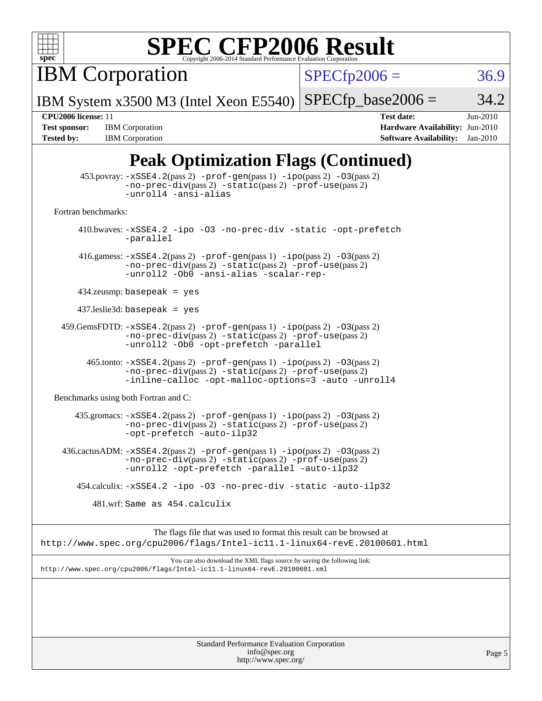

IBM Corporation

 $SPECfp2006 = 36.9$  $SPECfp2006 = 36.9$ 

IBM System x3500 M3 (Intel Xeon E5540)  $SPECTp\_base2006 = 34.2$ 

**[Tested by:](http://www.spec.org/auto/cpu2006/Docs/result-fields.html#Testedby)** IBM Corporation **[Software Availability:](http://www.spec.org/auto/cpu2006/Docs/result-fields.html#SoftwareAvailability)** Jan-2010

**[CPU2006 license:](http://www.spec.org/auto/cpu2006/Docs/result-fields.html#CPU2006license)** 11 **[Test date:](http://www.spec.org/auto/cpu2006/Docs/result-fields.html#Testdate)** Jun-2010 **[Test sponsor:](http://www.spec.org/auto/cpu2006/Docs/result-fields.html#Testsponsor)** IBM Corporation **[Hardware Availability:](http://www.spec.org/auto/cpu2006/Docs/result-fields.html#HardwareAvailability)** Jun-2010

### **[Peak Optimization Flags \(Continued\)](http://www.spec.org/auto/cpu2006/Docs/result-fields.html#PeakOptimizationFlags)**

|                                      | $\mathbf{B}^{\prime}$ ( $\sim$ $\sim$ $\sim$ $\sim$ $\sim$ $\sim$                                                                                                                       |
|--------------------------------------|-----------------------------------------------------------------------------------------------------------------------------------------------------------------------------------------|
|                                      | $453.$ povray: $-xSSE4.2(pass2)$ -prof-gen $(pass1)$ -ipo $(pass2)$ -03 $(pass2)$<br>-no-prec-div(pass 2) -static(pass 2) -prof-use(pass 2)<br>-unroll4 -ansi-alias                     |
| Fortran benchmarks:                  |                                                                                                                                                                                         |
|                                      | 410.bwaves: -xSSE4.2 -ipo -03 -no-prec-div -static -opt-prefetch<br>-parallel                                                                                                           |
|                                      | 416.gamess: $-xSSE4$ . 2(pass 2) $-prof-gen(pass 1) -ipo(pass 2) -03(pass 2)$<br>-no-prec-div(pass 2) -static(pass 2) -prof-use(pass 2)<br>-unroll2 -Ob0 -ansi-alias -scalar-rep-       |
|                                      | $434$ .zeusmp: basepeak = yes                                                                                                                                                           |
|                                      | $437$ .leslie3d: basepeak = yes                                                                                                                                                         |
|                                      | $459.GemsFDTD: -xSSE4.2(pass 2) -prof-gen(pass 1) -ipo(pass 2) -03(pass 2)$<br>-no-prec-div(pass 2) -static(pass 2) -prof-use(pass 2)<br>-unroll2 -Ob0 -opt-prefetch -parallel          |
|                                      | 465.tonto: -xSSE4.2(pass 2) -prof-gen(pass 1) -ipo(pass 2) -03(pass 2)<br>-no-prec-div(pass 2) -static(pass 2) -prof-use(pass 2)<br>-inline-calloc -opt-malloc-options=3 -auto -unroll4 |
| Benchmarks using both Fortran and C: |                                                                                                                                                                                         |
|                                      | 435.gromacs: -xSSE4.2(pass 2) -prof-gen(pass 1) -ipo(pass 2) -03(pass 2)<br>-no-prec-div(pass 2) -static(pass 2) -prof-use(pass 2)<br>-opt-prefetch -auto-ilp32                         |
|                                      | 436.cactusADM: -xSSE4.2(pass 2) -prof-gen(pass 1) -ipo(pass 2) -03(pass 2)<br>-no-prec-div(pass 2) -static(pass 2) -prof-use(pass 2)<br>-unroll2 -opt-prefetch -parallel -auto-ilp32    |
|                                      | 454.calculix: -xSSE4.2 -ipo -03 -no-prec-div -static -auto-ilp32                                                                                                                        |
|                                      | 481.wrf: Same as 454.calculix                                                                                                                                                           |
|                                      | The flags file that was used to format this result can be browsed at<br>http://www.spec.org/cpu2006/flags/Intel-ic11.1-linux64-revE.20100601.html                                       |
|                                      | You can also download the XML flags source by saving the following link:<br>http://www.spec.org/cpu2006/flags/Intel-icll.1-linux64-revE.20100601.xml                                    |
|                                      |                                                                                                                                                                                         |
|                                      | Standard Performance Evaluation Cornoration                                                                                                                                             |